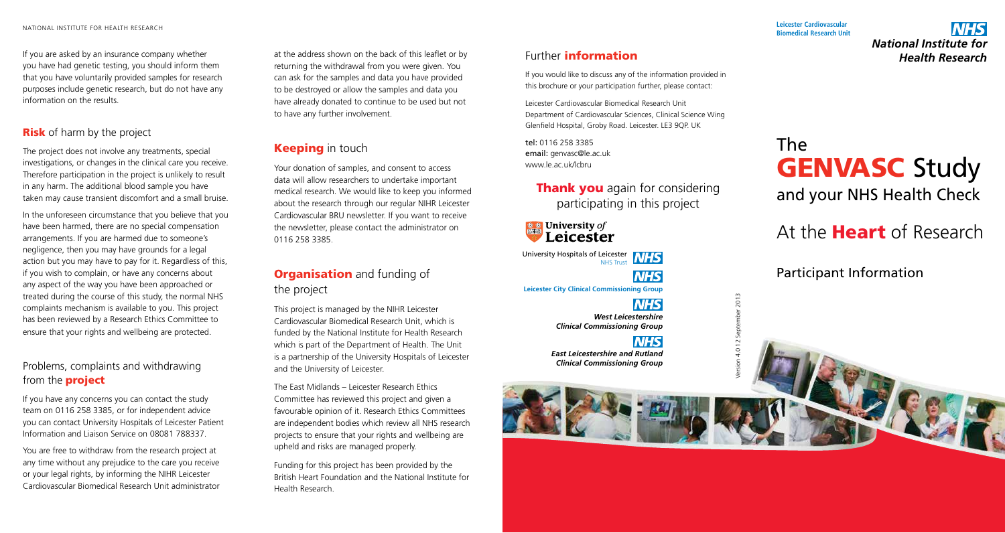If you are asked by an insurance company whether you have had genetic testing, you should inform them that you have voluntarily provided samples for research purposes include genetic research, but do not have any information on the results.

### **Risk** of harm by the project

The project does not involve any treatments, special investigations, or changes in the clinical care you receive. Therefore participation in the project is unlikely to result in any harm. The additional blood sample you have taken may cause transient discomfort and a small bruise.

In the unforeseen circumstance that you believe that you have been harmed, there are no special compensation arrangements. If you are harmed due to someone's negligence, then you may have grounds for a legal action but you may have to pay for it. Regardless of this, if you wish to complain, or have any concerns about any aspect of the way you have been approached or treated during the course of this study, the normal NHS complaints mechanism is available to you. This project has been reviewed by a Research Ethics Committee to ensure that your rights and wellbeing are protected.

## Problems, complaints and withdrawing from the **project**

If you have any concerns you can contact the study team on 0116 258 3385, or for independent advice you can contact University Hospitals of Leicester Patient Information and Liaison Service on 08081 788337.

You are free to withdraw from the research project at any time without any prejudice to the care you receive or your legal rights, by informing the NIHR Leicester Cardiovascular Biomedical Research Unit administrator

at the address shown on the back of this leaflet or by returning the withdrawal from you were given. You can ask for the samples and data you have provided to be destroyed or allow the samples and data you have already donated to continue to be used but not to have any further involvement.

# **Keeping** in touch

Your donation of samples, and consent to access data will allow researchers to undertake important medical research. We would like to keep you informed about the research through our regular NIHR Leicester Cardiovascular BRU newsletter. If you want to receive the newsletter, please contact the administrator on 0116 258 3385.

# **Organisation** and funding of the project

This project is managed by the NIHR Leicester Cardiovascular Biomedical Research Unit, which is funded by the National Institute for Health Research which is part of the Department of Health. The Unit is a partnership of the University Hospitals of Leicester and the University of Leicester.

The East Midlands – Leicester Research Ethics Committee has reviewed this project and given a favourable opinion of it. Research Ethics Committees are independent bodies which review all NHS research projects to ensure that your rights and wellbeing are upheld and risks are managed properly.

Funding for this project has been provided by the British Heart Foundation and the National Institute for Health Research.

#### **Leicester Cardiovascular Biomedical Research Unit**

**NHS** *National Institute for Health Research*

## Further information

If you would like to discuss any of the information provided in this brochure or your participation further, please contact:

Leicester Cardiovascular Biomedical Research Unit Department of Cardiovascular Sciences, Clinical Science Wing Glenfield Hospital, Groby Road. Leicester. LE3 9QP. UK

tel: 0116 258 3385 email: genvasc@le.ac.uk www.le.ac.uk/lcbru

> **Thank you** again for considering participating in this project

> > **NHS**

 $\frac{\text{# } \text{#}}{\text{W}}$  University of Leicester

University Hospitals of Leicester

NHS Trust **NHS Leicester City Clinical Commissioning Group**

> **NHS** *West Leicestershire Clinical Commissioning Group*

**NHS** *East Leicestershire and Rutland Clinical Commissioning Group* Version 4.0 12 September 2013

 $2013$ 



At the **Heart** of Research

Participant Information